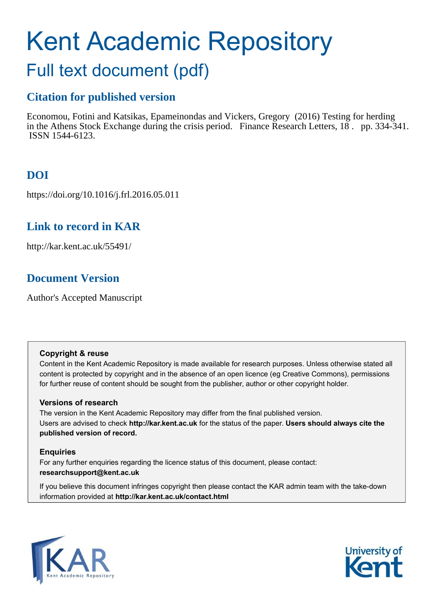# Kent Academic Repository

## Full text document (pdf)

## **Citation for published version**

Economou, Fotini and Katsikas, Epameinondas and Vickers, Gregory (2016) Testing for herding in the Athens Stock Exchange during the crisis period. Finance Research Letters, 18 . pp. 334-341. ISSN 1544-6123.

## **DOI**

https://doi.org/10.1016/j.frl.2016.05.011

## **Link to record in KAR**

http://kar.kent.ac.uk/55491/

## **Document Version**

Author's Accepted Manuscript

#### **Copyright & reuse**

Content in the Kent Academic Repository is made available for research purposes. Unless otherwise stated all content is protected by copyright and in the absence of an open licence (eg Creative Commons), permissions for further reuse of content should be sought from the publisher, author or other copyright holder.

#### **Versions of research**

The version in the Kent Academic Repository may differ from the final published version. Users are advised to check **http://kar.kent.ac.uk** for the status of the paper. **Users should always cite the published version of record.**

#### **Enquiries**

For any further enquiries regarding the licence status of this document, please contact: **researchsupport@kent.ac.uk**

If you believe this document infringes copyright then please contact the KAR admin team with the take-down information provided at **http://kar.kent.ac.uk/contact.html**



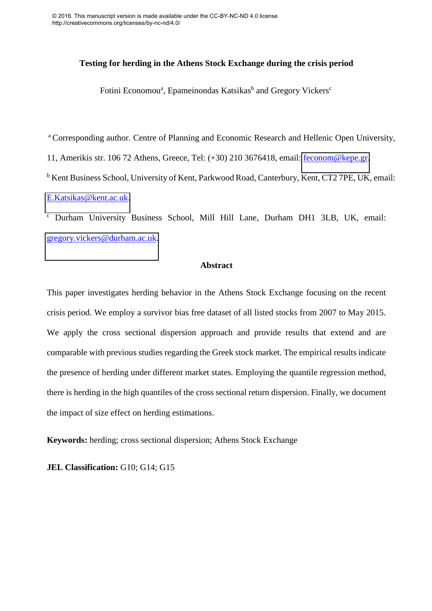#### **Testing for herding in the Athens Stock Exchange during the crisis period**

Fotini Economou<sup>a</sup>, Epameinondas Katsikas<sup>b</sup> and Gregory Vickers<sup>c</sup>

<sup>a</sup> Corresponding author. Centre of Planning and Economic Research and Hellenic Open University, 11, Amerikis str. 106 72 Athens, Greece, Tel: (+30) 210 3676418, email: [feconom@kepe.gr.](mailto:feconom@kepe.gr) <sup>b</sup> Kent Business School, University of Kent, Parkwood Road, Canterbury, Kent, CT2 7PE, UK, email: [E.Katsikas@kent.ac.uk.](mailto:E.Katsikas@kent.ac.uk)

c Durham University Business School, Mill Hill Lane, Durham DH1 3LB, UK, email: [gregory.vickers@durham.ac.uk.](mailto:gregory.vickers@durham.ac.uk)

#### **Abstract**

This paper investigates herding behavior in the Athens Stock Exchange focusing on the recent crisis period. We employ a survivor bias free dataset of all listed stocks from 2007 to May 2015. We apply the cross sectional dispersion approach and provide results that extend and are comparable with previous studies regarding the Greek stock market. The empirical results indicate the presence of herding under different market states. Employing the quantile regression method, there is herding in the high quantiles of the cross sectional return dispersion. Finally, we document the impact of size effect on herding estimations.

**Keywords:** herding; cross sectional dispersion; Athens Stock Exchange

**JEL Classification:** G10; G14; G15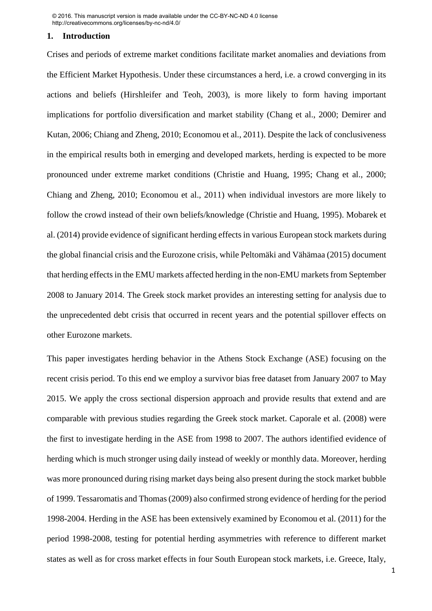#### **1. Introduction**

Crises and periods of extreme market conditions facilitate market anomalies and deviations from the Efficient Market Hypothesis. Under these circumstances a herd, i.e. a crowd converging in its actions and beliefs (Hirshleifer and Teoh, 2003), is more likely to form having important implications for portfolio diversification and market stability (Chang et al., 2000; Demirer and Kutan, 2006; Chiang and Zheng, 2010; Economou et al., 2011). Despite the lack of conclusiveness in the empirical results both in emerging and developed markets, herding is expected to be more pronounced under extreme market conditions (Christie and Huang, 1995; Chang et al., 2000; Chiang and Zheng, 2010; Economou et al., 2011) when individual investors are more likely to follow the crowd instead of their own beliefs/knowledge (Christie and Huang, 1995). Mobarek et al. (2014) provide evidence of significant herding effects in various European stock markets during the global financial crisis and the Eurozone crisis, while Peltomäki and Vähämaa (2015) document that herding effects in the EMU markets affected herding in the non-EMU markets from September 2008 to January 2014. The Greek stock market provides an interesting setting for analysis due to the unprecedented debt crisis that occurred in recent years and the potential spillover effects on other Eurozone markets.

This paper investigates herding behavior in the Athens Stock Exchange (ASE) focusing on the recent crisis period. To this end we employ a survivor bias free dataset from January 2007 to May 2015. We apply the cross sectional dispersion approach and provide results that extend and are comparable with previous studies regarding the Greek stock market. Caporale et al. (2008) were the first to investigate herding in the ASE from 1998 to 2007. The authors identified evidence of herding which is much stronger using daily instead of weekly or monthly data. Moreover, herding was more pronounced during rising market days being also present during the stock market bubble of 1999. Tessaromatis and Thomas (2009) also confirmed strong evidence of herding for the period 1998-2004. Herding in the ASE has been extensively examined by Economou et al. (2011) for the period 1998-2008, testing for potential herding asymmetries with reference to different market states as well as for cross market effects in four South European stock markets, i.e. Greece, Italy,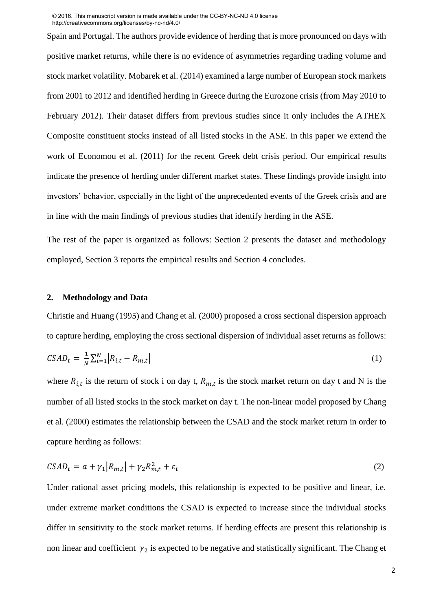Spain and Portugal. The authors provide evidence of herding that is more pronounced on days with positive market returns, while there is no evidence of asymmetries regarding trading volume and stock market volatility. Mobarek et al. (2014) examined a large number of European stock markets from 2001 to 2012 and identified herding in Greece during the Eurozone crisis (from May 2010 to February 2012). Their dataset differs from previous studies since it only includes the ATHEX Composite constituent stocks instead of all listed stocks in the ASE. In this paper we extend the work of Economou et al. (2011) for the recent Greek debt crisis period. Our empirical results indicate the presence of herding under different market states. These findings provide insight into investors' behavior, especially in the light of the unprecedented events of the Greek crisis and are in line with the main findings of previous studies that identify herding in the ASE.

The rest of the paper is organized as follows: Section 2 presents the dataset and methodology employed, Section 3 reports the empirical results and Section 4 concludes.

#### **2. Methodology and Data**

Christie and Huang (1995) and Chang et al. (2000) proposed a cross sectional dispersion approach to capture herding, employing the cross sectional dispersion of individual asset returns as follows:

$$
CSAD_t = \frac{1}{N} \sum_{i=1}^{N} \left| R_{i,t} - R_{m,t} \right| \tag{1}
$$

where  $R_{i,t}$  is the return of stock i on day t,  $R_{m,t}$  is the stock market return on day t and N is the number of all listed stocks in the stock market on day t. The non-linear model proposed by Chang et al. (2000) estimates the relationship between the CSAD and the stock market return in order to capture herding as follows:

$$
CSAD_t = a + \gamma_1 |R_{m,t}| + \gamma_2 R_{m,t}^2 + \varepsilon_t
$$
\n<sup>(2)</sup>

Under rational asset pricing models, this relationship is expected to be positive and linear, i.e. under extreme market conditions the CSAD is expected to increase since the individual stocks differ in sensitivity to the stock market returns. If herding effects are present this relationship is non linear and coefficient  $\gamma_2$  is expected to be negative and statistically significant. The Chang et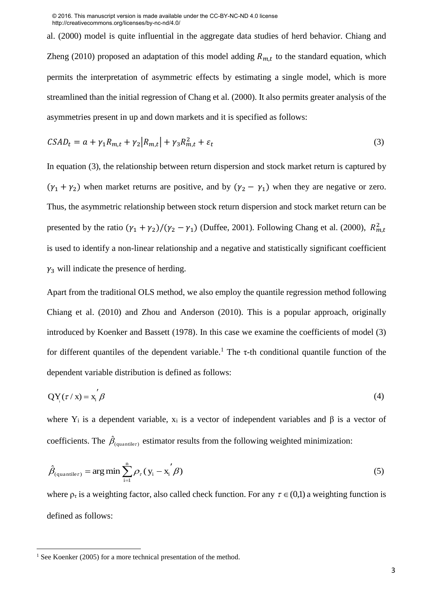al. (2000) model is quite influential in the aggregate data studies of herd behavior. Chiang and Zheng (2010) proposed an adaptation of this model adding  $R_{m,t}$  to the standard equation, which permits the interpretation of asymmetric effects by estimating a single model, which is more streamlined than the initial regression of Chang et al. (2000). It also permits greater analysis of the asymmetries present in up and down markets and it is specified as follows:

$$
CSAD_t = a + \gamma_1 R_{m,t} + \gamma_2 |R_{m,t}| + \gamma_3 R_{m,t}^2 + \varepsilon_t
$$
\n<sup>(3)</sup>

In equation (3), the relationship between return dispersion and stock market return is captured by  $(\gamma_1 + \gamma_2)$  when market returns are positive, and by  $(\gamma_2 - \gamma_1)$  when they are negative or zero. Thus, the asymmetric relationship between stock return dispersion and stock market return can be presented by the ratio  $(\gamma_1 + \gamma_2)/(\gamma_2 - \gamma_1)$  (Duffee, 2001). Following Chang et al. (2000),  $R_{m,t}^2$ is used to identify a non-linear relationship and a negative and statistically significant coefficient  $\gamma_3$  will indicate the presence of herding.

Apart from the traditional OLS method, we also employ the quantile regression method following Chiang et al. (2010) and Zhou and Anderson (2010). This is a popular approach, originally introduced by Koenker and Bassett (1978). In this case we examine the coefficients of model (3) for different quantiles of the dependent variable.<sup>1</sup> The  $\tau$ -th conditional quantile function of the dependent variable distribution is defined as follows:

$$
QY_i(\tau / x) = x_i' \beta \tag{4}
$$

where  $Y_i$  is a dependent variable,  $x_i$  is a vector of independent variables and  $\beta$  is a vector of coefficients. The  $\hat{\beta}_{(quantile)}$  estimator results from the following weighted minimization:

$$
\hat{\beta}_{(quantile\tau)} = \arg\min \sum_{i=1}^{n} \rho_{\tau} (y_i - x_i / \beta)
$$
\n(5)

where  $\rho_{\tau}$  is a weighting factor, also called check function. For any  $\tau \in (0,1)$  a weighting function is defined as follows:

l

<sup>&</sup>lt;sup>1</sup> See Koenker (2005) for a more technical presentation of the method.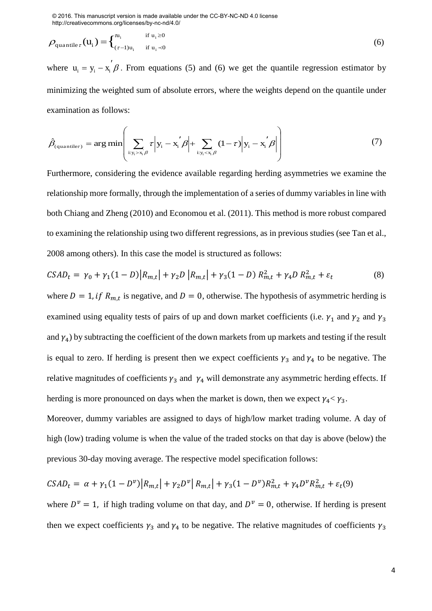$$
\rho_{\text{quantile}\tau}(\mathbf{u}_i) = \begin{cases} \mathbf{u}_i & \text{if } \mathbf{u}_i \ge 0 \\ \mathbf{u}_i & \text{if } \mathbf{u}_i \prec 0 \end{cases} \tag{6}
$$

where  $u_i = y_i - x_i' \beta$ . From equations (5) and (6) we get the quantile regression estimator by minimizing the weighted sum of absolute errors, where the weights depend on the quantile under examination as follows:

$$
\hat{\beta}_{(quantile\tau)} = \arg\min \left( \sum_{i: y_i > x_i \beta} \tau \middle| y_i - x_i' \beta \middle| + \sum_{i: y_i < x_i \beta} (1 - \tau) \middle| y_i - x_i' \beta \middle| \right) \tag{7}
$$

Furthermore, considering the evidence available regarding herding asymmetries we examine the relationship more formally, through the implementation of a series of dummy variables in line with both Chiang and Zheng (2010) and Economou et al. (2011). This method is more robust compared to examining the relationship using two different regressions, as in previous studies (see Tan et al., 2008 among others). In this case the model is structured as follows:

$$
CSAD_t = \gamma_0 + \gamma_1 (1 - D) |R_{m,t}| + \gamma_2 D |R_{m,t}| + \gamma_3 (1 - D) R_{m,t}^2 + \gamma_4 D R_{m,t}^2 + \varepsilon_t
$$
 (8)

where  $D = 1$ , if  $R_{m,t}$  is negative, and  $D = 0$ , otherwise. The hypothesis of asymmetric herding is examined using equality tests of pairs of up and down market coefficients (i.e.  $\gamma_1$  and  $\gamma_2$  and  $\gamma_3$ and  $\gamma_4$ ) by subtracting the coefficient of the down markets from up markets and testing if the result is equal to zero. If herding is present then we expect coefficients  $\gamma_3$  and  $\gamma_4$  to be negative. The relative magnitudes of coefficients  $\gamma_3$  and  $\gamma_4$  will demonstrate any asymmetric herding effects. If herding is more pronounced on days when the market is down, then we expect  $\gamma_4 < \gamma_3$ .

Moreover, dummy variables are assigned to days of high/low market trading volume. A day of high (low) trading volume is when the value of the traded stocks on that day is above (below) the previous 30-day moving average. The respective model specification follows:

$$
CSAD_t = \alpha + \gamma_1 (1 - D^{\nu}) |R_{m,t}| + \gamma_2 D^{\nu} |R_{m,t}| + \gamma_3 (1 - D^{\nu}) R_{m,t}^2 + \gamma_4 D^{\nu} R_{m,t}^2 + \varepsilon_t (9)
$$

where  $D^{\nu} = 1$ , if high trading volume on that day, and  $D^{\nu} = 0$ , otherwise. If herding is present then we expect coefficients  $\gamma_3$  and  $\gamma_4$  to be negative. The relative magnitudes of coefficients  $\gamma_3$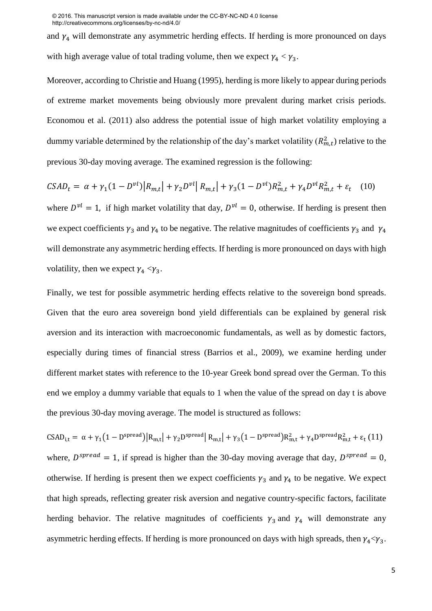and  $\gamma_4$  will demonstrate any asymmetric herding effects. If herding is more pronounced on days with high average value of total trading volume, then we expect  $\gamma_4 < \gamma_3$ .

Moreover, according to Christie and Huang (1995), herding is more likely to appear during periods of extreme market movements being obviously more prevalent during market crisis periods. Economou et al. (2011) also address the potential issue of high market volatility employing a dummy variable determined by the relationship of the day's market volatility  $(R_{m,t}^2)$  relative to the previous 30-day moving average. The examined regression is the following:

$$
CSAD_t = \alpha + \gamma_1 (1 - D^{\nu l}) |R_{m,t}| + \gamma_2 D^{\nu l} |R_{m,t}| + \gamma_3 (1 - D^{\nu l}) R_{m,t}^2 + \gamma_4 D^{\nu l} R_{m,t}^2 + \varepsilon_t \quad (10)
$$

where  $D^{\nu l} = 1$ , if high market volatility that day,  $D^{\nu l} = 0$ , otherwise. If herding is present then we expect coefficients  $\gamma_3$  and  $\gamma_4$  to be negative. The relative magnitudes of coefficients  $\gamma_3$  and  $\gamma_4$ will demonstrate any asymmetric herding effects. If herding is more pronounced on days with high volatility, then we expect  $\gamma_4 < \gamma_3$ .

Finally, we test for possible asymmetric herding effects relative to the sovereign bond spreads. Given that the euro area sovereign bond yield differentials can be explained by general risk aversion and its interaction with macroeconomic fundamentals, as well as by domestic factors, especially during times of financial stress (Barrios et al., 2009), we examine herding under different market states with reference to the 10-year Greek bond spread over the German. To this end we employ a dummy variable that equals to 1 when the value of the spread on day t is above the previous 30-day moving average. The model is structured as follows:

 $\text{CSAD}_{i,t} = \alpha + \gamma_1 (1 - D^{\text{spread}}) |R_{m,t}| + \gamma_2 D^{\text{spread}} |R_{m,t}| + \gamma_3 (1 - D^{\text{spread}}) R_{m,t}^2 + \gamma_4 D^{\text{spread}} R_{m,t}^2 + \epsilon_t (11)$ where,  $D^{spread} = 1$ , if spread is higher than the 30-day moving average that day,  $D^{spread} = 0$ , otherwise. If herding is present then we expect coefficients  $\gamma_3$  and  $\gamma_4$  to be negative. We expect that high spreads, reflecting greater risk aversion and negative country-specific factors, facilitate herding behavior. The relative magnitudes of coefficients  $\gamma_3$  and  $\gamma_4$  will demonstrate any asymmetric herding effects. If herding is more pronounced on days with high spreads, then  $\gamma_4 < \gamma_3$ .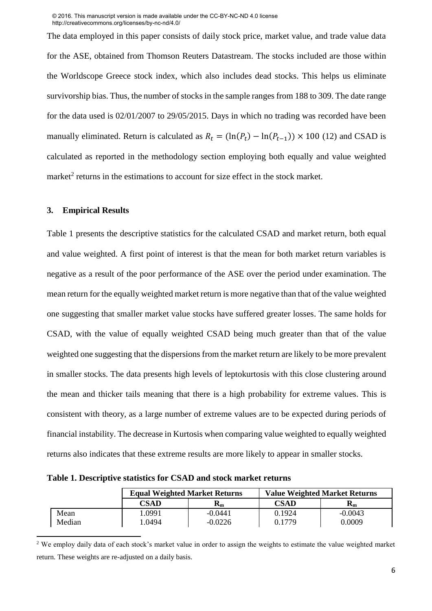The data employed in this paper consists of daily stock price, market value, and trade value data for the ASE, obtained from Thomson Reuters Datastream. The stocks included are those within the Worldscope Greece stock index, which also includes dead stocks. This helps us eliminate survivorship bias. Thus, the number of stocks in the sample ranges from 188 to 309. The date range for the data used is 02/01/2007 to 29/05/2015. Days in which no trading was recorded have been manually eliminated. Return is calculated as  $R_t = (\ln(P_t) - \ln(P_{t-1})) \times 100$  (12) and CSAD is calculated as reported in the methodology section employing both equally and value weighted market<sup>2</sup> returns in the estimations to account for size effect in the stock market.

#### **3. Empirical Results**

l

Table 1 presents the descriptive statistics for the calculated CSAD and market return, both equal and value weighted. A first point of interest is that the mean for both market return variables is negative as a result of the poor performance of the ASE over the period under examination. The mean return for the equally weighted market return is more negative than that of the value weighted one suggesting that smaller market value stocks have suffered greater losses. The same holds for CSAD, with the value of equally weighted CSAD being much greater than that of the value weighted one suggesting that the dispersions from the market return are likely to be more prevalent in smaller stocks. The data presents high levels of leptokurtosis with this close clustering around the mean and thicker tails meaning that there is a high probability for extreme values. This is consistent with theory, as a large number of extreme values are to be expected during periods of financial instability. The decrease in Kurtosis when comparing value weighted to equally weighted returns also indicates that these extreme results are more likely to appear in smaller stocks.

**Table 1. Descriptive statistics for CSAD and stock market returns** 

|        |        | <b>Equal Weighted Market Returns</b> | <b>Value Weighted Market Returns</b> |                           |  |
|--------|--------|--------------------------------------|--------------------------------------|---------------------------|--|
|        | CSAD   | $\mathbf{R}_\mathbf{m}$              | <b>CSAD</b>                          | $\mathbf{R}_{\mathbf{m}}$ |  |
| Mean   | .0991  | $-0.0441$                            | 0.1924                               | $-0.0043$                 |  |
| Median | 1.0494 | $-0.0226$                            | 0.1779                               | 0.0009                    |  |

<sup>&</sup>lt;sup>2</sup> We employ daily data of each stock's market value in order to assign the weights to estimate the value weighted market return. These weights are re-adjusted on a daily basis.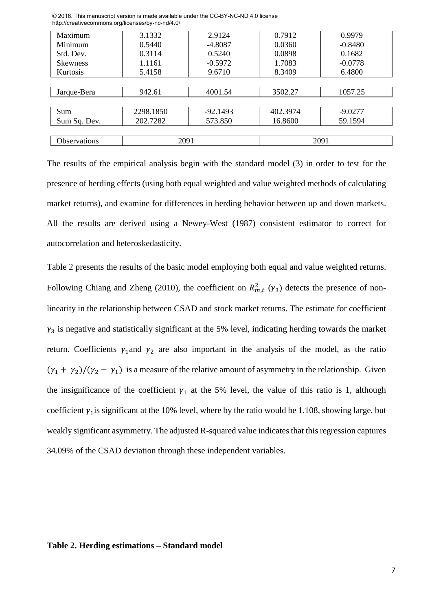| Maximum             | 3.1332    | 2.9124     | 0.7912   | 0.9979    |
|---------------------|-----------|------------|----------|-----------|
| Minimum             | 0.5440    | $-4.8087$  | 0.0360   | $-0.8480$ |
| Std. Dev.           | 0.3114    | 0.5240     | 0.0898   | 0.1682    |
| <b>Skewness</b>     | 1.1161    | $-0.5972$  | 1.7083   | $-0.0778$ |
| Kurtosis            | 5.4158    | 9.6710     | 8.3409   | 6.4800    |
|                     |           |            |          |           |
| Jarque-Bera         | 942.61    | 4001.54    | 3502.27  | 1057.25   |
|                     |           |            |          |           |
| Sum                 | 2298.1850 | $-92.1493$ | 402.3974 | $-9.0277$ |
| Sum Sq. Dev.        | 202.7282  | 573.850    | 16.8600  | 59.1594   |
|                     |           |            |          |           |
| <b>Observations</b> | 2091      |            |          | 2091      |
|                     |           |            |          |           |

The results of the empirical analysis begin with the standard model (3) in order to test for the presence of herding effects (using both equal weighted and value weighted methods of calculating market returns), and examine for differences in herding behavior between up and down markets. All the results are derived using a Newey-West (1987) consistent estimator to correct for autocorrelation and heteroskedasticity.

Table 2 presents the results of the basic model employing both equal and value weighted returns. Following Chiang and Zheng (2010), the coefficient on  $R_{m,t}^2$  ( $\gamma_3$ ) detects the presence of nonlinearity in the relationship between CSAD and stock market returns. The estimate for coefficient  $y_3$  is negative and statistically significant at the 5% level, indicating herding towards the market return. Coefficients  $\gamma_1$  and  $\gamma_2$  are also important in the analysis of the model, as the ratio  $(\gamma_1 + \gamma_2)/(\gamma_2 - \gamma_1)$  is a measure of the relative amount of asymmetry in the relationship. Given the insignificance of the coefficient  $\gamma_1$  at the 5% level, the value of this ratio is 1, although coefficient  $\gamma_1$  is significant at the 10% level, where by the ratio would be 1.108, showing large, but weakly significant asymmetry. The adjusted R-squared value indicates that this regression captures 34.09% of the CSAD deviation through these independent variables.

#### **Table 2. Herding estimations – Standard model**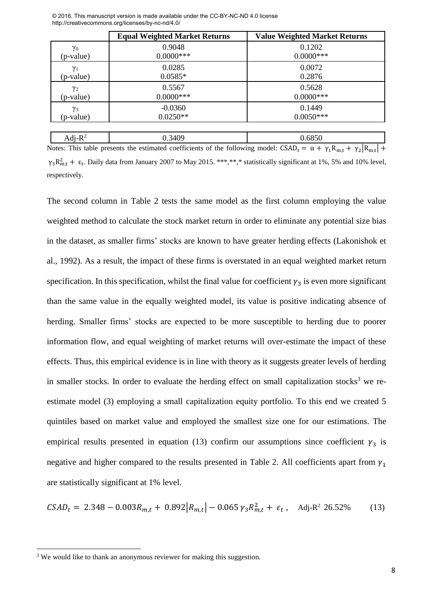|            | <b>Equal Weighted Market Returns</b> | <b>Value Weighted Market Returns</b> |
|------------|--------------------------------------|--------------------------------------|
| $\gamma_0$ | 0.9048                               | 0.1202                               |
| (p-value)  | $0.0000$ ***                         | $0.0000$ ***                         |
| $\gamma_1$ | 0.0285                               | 0.0072                               |
| (p-value)  | $0.0585*$                            | 0.2876                               |
| $\gamma_2$ | 0.5567                               | 0.5628                               |
| (p-value)  | $0.0000$ ***                         | $0.0000$ ***                         |
| $\gamma_3$ | $-0.0360$                            | 0.1449                               |
| (p-value)  | $0.0250**$                           | $0.0050***$                          |

Notes: This table presents the estimated coefficients of the following model:  $CSAD_t = \alpha + \gamma_1 R_{m,t} + \gamma_2 |R_{m,t}| +$  $\gamma_3 R_{m,t}^2$  +  $\varepsilon_t$ . Daily data from January 2007 to May 2015. \*\*\*,\*\*,\* statistically significant at 1%, 5% and 10% level, respectively.

Adj- $R^2$  0.3409 0.6850

The second column in Table 2 tests the same model as the first column employing the value weighted method to calculate the stock market return in order to eliminate any potential size bias in the dataset, as smaller firms' stocks are known to have greater herding effects (Lakonishok et al., 1992). As a result, the impact of these firms is overstated in an equal weighted market return specification. In this specification, whilst the final value for coefficient  $\gamma_3$  is even more significant than the same value in the equally weighted model, its value is positive indicating absence of herding. Smaller firms' stocks are expected to be more susceptible to herding due to poorer information flow, and equal weighting of market returns will over-estimate the impact of these effects. Thus, this empirical evidence is in line with theory as it suggests greater levels of herding in smaller stocks. In order to evaluate the herding effect on small capitalization stocks<sup>3</sup> we reestimate model (3) employing a small capitalization equity portfolio. To this end we created 5 quintiles based on market value and employed the smallest size one for our estimations. The empirical results presented in equation (13) confirm our assumptions since coefficient  $\gamma_3$  is negative and higher compared to the results presented in Table 2. All coefficients apart from  $\gamma_1$ are statistically significant at 1% level.

$$
CSAD_t = 2.348 - 0.003R_{m,t} + 0.892|R_{m,t}| - 0.065\gamma_3 R_{m,t}^2 + \varepsilon_t, \quad \text{Adj-R}^2 \ 26.52\% \tag{13}
$$

l

<sup>&</sup>lt;sup>3</sup> We would like to thank an anonymous reviewer for making this suggestion.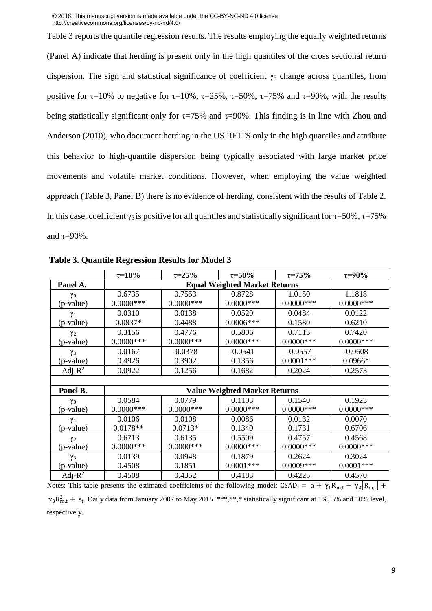Table 3 reports the quantile regression results. The results employing the equally weighted returns (Panel A) indicate that herding is present only in the high quantiles of the cross sectional return dispersion. The sign and statistical significance of coefficient  $\gamma_3$  change across quantiles, from positive for  $\tau$ =10% to negative for  $\tau$ =10%,  $\tau$ =25%,  $\tau$ =50%,  $\tau$ =75% and  $\tau$ =90%, with the results being statistically significant only for  $\tau=75\%$  and  $\tau=90\%$ . This finding is in line with Zhou and Anderson (2010), who document herding in the US REITS only in the high quantiles and attribute this behavior to high-quantile dispersion being typically associated with large market price movements and volatile market conditions. However, when employing the value weighted approach (Table 3, Panel B) there is no evidence of herding, consistent with the results of Table 2. In this case, coefficient  $\gamma_3$  is positive for all quantiles and statistically significant for  $\tau = 50\%$ ,  $\tau = 75\%$ and  $\tau=90\%$ .

|            | $\tau = 10\%$                        | $\tau = 25\%$ | $\tau = 50\%$                        | $\tau = 75\%$ | $\tau = 90\%$ |
|------------|--------------------------------------|---------------|--------------------------------------|---------------|---------------|
| Panel A.   | <b>Equal Weighted Market Returns</b> |               |                                      |               |               |
| $\gamma_0$ | 0.6735                               | 0.7553        | 0.8728                               | 1.0150        | 1.1818        |
| (p-value)  | $0.0000***$                          | $0.0000$ ***  | $0.0000$ ***                         | $0.0000$ ***  | $0.0000$ ***  |
| $\gamma_1$ | 0.0310                               | 0.0138        | 0.0520                               | 0.0484        | 0.0122        |
| (p-value)  | $0.0837*$                            | 0.4488        | $0.0006***$                          | 0.1580        | 0.6210        |
| $\gamma_2$ | 0.3156                               | 0.4776        | 0.5806                               | 0.7113        | 0.7420        |
| (p-value)  | $0.0000$ ***                         | $0.0000$ ***  | $0.0000$ ***                         | $0.0000$ ***  | $0.0000$ ***  |
| $\gamma_3$ | 0.0167                               | $-0.0378$     | $-0.0541$                            | $-0.0557$     | $-0.0608$     |
| (p-value)  | 0.4926                               | 0.3902        | 0.1356                               | $0.0001$ ***  | $0.0966*$     |
| Adj- $R^2$ | 0.0922                               | 0.1256        | 0.1682                               | 0.2024        | 0.2573        |
|            |                                      |               |                                      |               |               |
| Panel B.   |                                      |               | <b>Value Weighted Market Returns</b> |               |               |
| $\gamma_0$ | 0.0584                               | 0.0779        | 0.1103                               | 0.1540        | 0.1923        |
| (p-value)  | $0.0000$ ***                         | $0.0000$ ***  | $0.0000$ ***                         | $0.0000$ ***  | $0.0000$ ***  |
| $\gamma_1$ | 0.0106                               | 0.0108        | 0.0086                               | 0.0132        | 0.0070        |
| (p-value)  | $0.0178**$                           | $0.0713*$     | 0.1340                               | 0.1731        | 0.6706        |
| $\gamma_2$ | 0.6713                               | 0.6135        | 0.5509                               | 0.4757        | 0.4568        |
| (p-value)  | $0.0000$ ***                         | $0.0000$ ***  | $0.0000$ ***                         | $0.0000$ ***  | $0.0000$ ***  |
| $\gamma_3$ | 0.0139                               | 0.0948        | 0.1879                               | 0.2624        | 0.3024        |
| (p-value)  | 0.4508                               | 0.1851        | $0.0001***$                          | $0.0009***$   | $0.0001***$   |
| Adj- $R^2$ | 0.4508                               | 0.4352        | 0.4183                               | 0.4225        | 0.4570        |

**Table 3. Quantile Regression Results for Model 3** 

Notes: This table presents the estimated coefficients of the following model:  $CSAD_t = \alpha + \gamma_1 R_{m,t} + \gamma_2 |R_{m,t}| +$  $\gamma_3 R_{m,t}^2$  +  $\varepsilon_t$ . Daily data from January 2007 to May 2015. \*\*\*,\*\*,\* statistically significant at 1%, 5% and 10% level, respectively.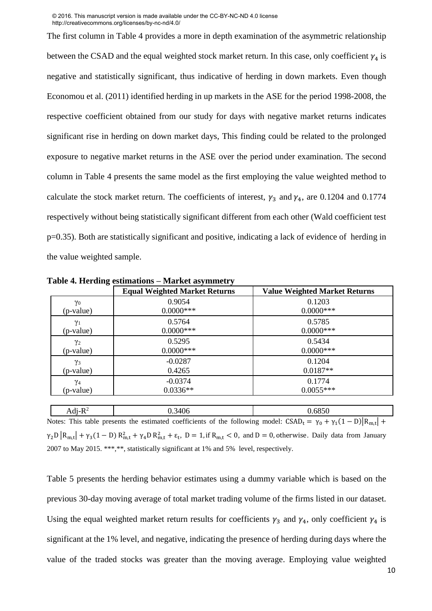The first column in Table 4 provides a more in depth examination of the asymmetric relationship between the CSAD and the equal weighted stock market return. In this case, only coefficient  $\gamma_4$  is negative and statistically significant, thus indicative of herding in down markets. Even though Economou et al. (2011) identified herding in up markets in the ASE for the period 1998-2008, the respective coefficient obtained from our study for days with negative market returns indicates significant rise in herding on down market days, This finding could be related to the prolonged exposure to negative market returns in the ASE over the period under examination. The second column in Table 4 presents the same model as the first employing the value weighted method to calculate the stock market return. The coefficients of interest,  $\gamma_3$  and  $\gamma_4$ , are 0.1204 and 0.1774 respectively without being statistically significant different from each other (Wald coefficient test p=0.35). Both are statistically significant and positive, indicating a lack of evidence of herding in the value weighted sample.

|            | <b>Equal Weighted Market Returns</b> | <b>Value Weighted Market Returns</b> |
|------------|--------------------------------------|--------------------------------------|
| $\gamma_0$ | 0.9054                               | 0.1203                               |
| (p-value)  | $0.0000***$                          | $0.0000$ ***                         |
| $\gamma_1$ | 0.5764                               | 0.5785                               |
| (p-value)  | $0.0000***$                          | $0.0000$ ***                         |
| $\gamma_2$ | 0.5295                               | 0.5434                               |
| (p-value)  | $0.0000***$                          | $0.0000$ ***                         |
| $\gamma_3$ | $-0.0287$                            | 0.1204                               |
| (p-value)  | 0.4265                               | $0.0187**$                           |
| $\gamma_4$ | $-0.0374$                            | 0.1774                               |
| (p-value)  | $0.0336**$                           | $0.0055***$                          |

**Table 4. Herding estimations – Market asymmetry** 

Adj- $R^2$  0.3406 0.6850 Notes: This table presents the estimated coefficients of the following model:  $CSAD_t = \gamma_0 + \gamma_1(1 - D)|R_{m,t}| +$  $\gamma_2 D |R_{m,t}| + \gamma_3 (1 - D) R_{m,t}^2 + \gamma_4 D R_{m,t}^2 + \epsilon_t$ ,  $D = 1$ , if  $R_{m,t} < 0$ , and  $D = 0$ , otherwise. Daily data from January 2007 to May 2015. \*\*\*,\*\*, statistically significant at 1% and 5% level, respectively.

Table 5 presents the herding behavior estimates using a dummy variable which is based on the previous 30-day moving average of total market trading volume of the firms listed in our dataset. Using the equal weighted market return results for coefficients  $\gamma_3$  and  $\gamma_4$ , only coefficient  $\gamma_4$  is significant at the 1% level, and negative, indicating the presence of herding during days where the value of the traded stocks was greater than the moving average. Employing value weighted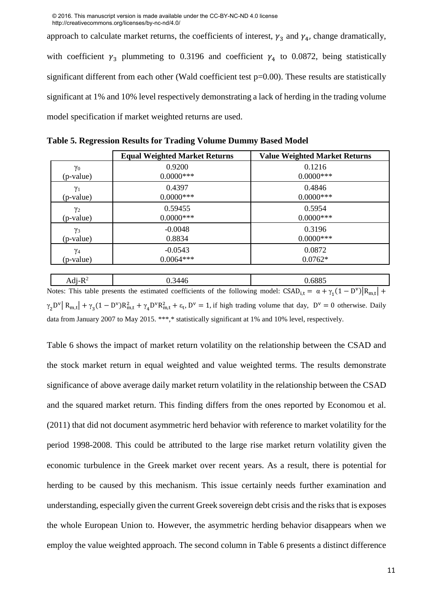approach to calculate market returns, the coefficients of interest,  $\gamma_3$  and  $\gamma_4$ , change dramatically, with coefficient  $\gamma_3$  plummeting to 0.3196 and coefficient  $\gamma_4$  to 0.0872, being statistically significant different from each other (Wald coefficient test p=0.00). These results are statistically significant at 1% and 10% level respectively demonstrating a lack of herding in the trading volume model specification if market weighted returns are used.

| <b>Equal Weighted Market Returns</b> |              | <b>Value Weighted Market Returns</b> |  |
|--------------------------------------|--------------|--------------------------------------|--|
| $\gamma_0$                           | 0.9200       | 0.1216                               |  |
| (p-value)                            | $0.0000***$  | $0.0000$ ***                         |  |
| $\gamma_1$                           | 0.4397       | 0.4846                               |  |
| (p-value)                            | $0.0000$ *** | $0.0000$ ***                         |  |
| $\gamma_2$                           | 0.59455      | 0.5954                               |  |
| (p-value)                            | $0.0000$ *** | $0.0000$ ***                         |  |
| $\gamma_3$                           | $-0.0048$    | 0.3196                               |  |
| (p-value)                            | 0.8834       | $0.0000$ ***                         |  |
| $\gamma_4$                           | $-0.0543$    | 0.0872                               |  |
| (p-value)                            | $0.0064***$  | $0.0762*$                            |  |

**Table 5. Regression Results for Trading Volume Dummy Based Model**

Adj- $R^2$  0.3446 0.6885 Notes: This table presents the estimated coefficients of the following model:  $CSAD_{i,t} = \alpha + \gamma_1(1 - D^{\nu})|R_{m,t}| +$  $\gamma_2$ D<sup>v</sup> | R<sub>m,t</sub> | +  $\gamma_3$ (1 – D<sup>v</sup>)R<sub>m,t</sub> +  $\gamma_4$ D<sup>v</sup>R<sub>m,t</sub> +  $\varepsilon_t$ , D<sup>v</sup> = 1, if high trading volume that day, D<sup>v</sup> = 0 otherwise. Daily data from January 2007 to May 2015. \*\*\*,\* statistically significant at 1% and 10% level, respectively.

Table 6 shows the impact of market return volatility on the relationship between the CSAD and the stock market return in equal weighted and value weighted terms. The results demonstrate significance of above average daily market return volatility in the relationship between the CSAD and the squared market return. This finding differs from the ones reported by Economou et al. (2011) that did not document asymmetric herd behavior with reference to market volatility for the period 1998-2008. This could be attributed to the large rise market return volatility given the economic turbulence in the Greek market over recent years. As a result, there is potential for herding to be caused by this mechanism. This issue certainly needs further examination and understanding, especially given the current Greek sovereign debt crisis and the risks that is exposes the whole European Union to. However, the asymmetric herding behavior disappears when we employ the value weighted approach. The second column in Table 6 presents a distinct difference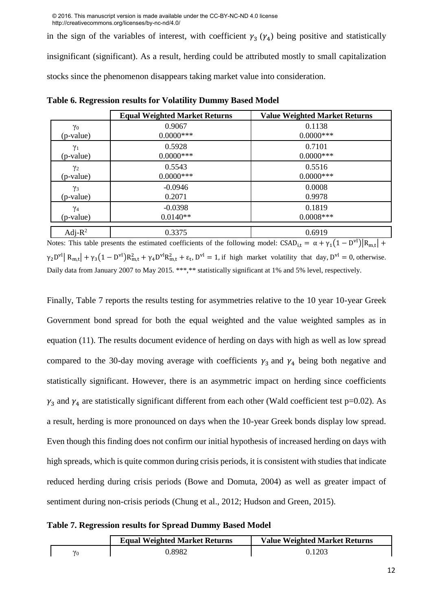in the sign of the variables of interest, with coefficient  $\gamma_3$  ( $\gamma_4$ ) being positive and statistically insignificant (significant). As a result, herding could be attributed mostly to small capitalization stocks since the phenomenon disappears taking market value into consideration.

|            | <b>Equal Weighted Market Returns</b> | <b>Value Weighted Market Returns</b> |
|------------|--------------------------------------|--------------------------------------|
| $\gamma_0$ | 0.9067                               | 0.1138                               |
| (p-value)  | $0.0000***$                          | $0.0000$ ***                         |
| $\gamma_1$ | 0.5928                               | 0.7101                               |
| (p-value)  | $0.0000***$                          | $0.0000$ ***                         |
| $\gamma_2$ | 0.5543                               | 0.5516                               |
| (p-value)  | $0.0000***$                          | $0.0000$ ***                         |
| $\gamma_3$ | $-0.0946$                            | 0.0008                               |
| (p-value)  | 0.2071                               | 0.9978                               |
| $\gamma_4$ | $-0.0398$                            | 0.1819                               |
| (p-value)  | $0.0140**$                           | $0.0008***$                          |
| Adj- $R^2$ | 0.3375                               | 0.6919                               |

**Table 6. Regression results for Volatility Dummy Based Model** 

Notes: This table presents the estimated coefficients of the following model:  $CSAD_{i,t} = \alpha + \gamma_1(1 - D^{vl})|R_{m,t}| +$  $\gamma_2$ D<sup>v1</sup>| R<sub>m,t</sub>| +  $\gamma_3(1 - D^{VI})R_{m,t}^2 + \gamma_4D^{VI}R_{m,t}^2 + \epsilon_t$ , D<sup>v1</sup> = 1, if high market volatility that day, D<sup>v1</sup> = 0, otherwise. Daily data from January 2007 to May 2015. \*\*\*,\*\* statistically significant at 1% and 5% level, respectively.

Finally, Table 7 reports the results testing for asymmetries relative to the 10 year 10-year Greek Government bond spread for both the equal weighted and the value weighted samples as in equation (11). The results document evidence of herding on days with high as well as low spread compared to the 30-day moving average with coefficients  $\gamma_3$  and  $\gamma_4$  being both negative and statistically significant. However, there is an asymmetric impact on herding since coefficients  $\gamma_3$  and  $\gamma_4$  are statistically significant different from each other (Wald coefficient test p=0.02). As a result, herding is more pronounced on days when the 10-year Greek bonds display low spread. Even though this finding does not confirm our initial hypothesis of increased herding on days with high spreads, which is quite common during crisis periods, it is consistent with studies that indicate reduced herding during crisis periods (Bowe and Domuta, 2004) as well as greater impact of sentiment during non-crisis periods (Chung et al., 2012; Hudson and Green, 2015).

|  |  |  | Table 7. Regression results for Spread Dummy Based Model |  |
|--|--|--|----------------------------------------------------------|--|
|  |  |  |                                                          |  |

|  | <b>Equal Weighted Market Returns</b> | <b>Value Weighted Market Returns</b> |
|--|--------------------------------------|--------------------------------------|
|  | 0.8982                               | 0.1203                               |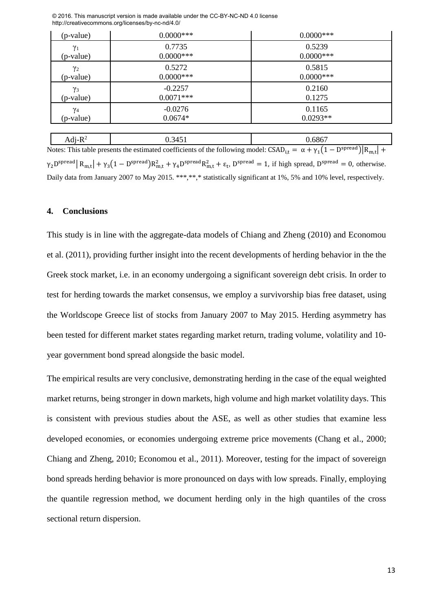| (p-value)  | $0.0000***$ | $0.0000***$  |
|------------|-------------|--------------|
| $\gamma_1$ | 0.7735      | 0.5239       |
| (p-value)  | $0.0000***$ | $0.0000$ *** |
| $\gamma_2$ | 0.5272      | 0.5815       |
| (p-value)  | $0.0000***$ | $0.0000$ *** |
| $\gamma_3$ | $-0.2257$   | 0.2160       |
| (p-value)  | $0.0071***$ | 0.1275       |
| $\gamma_4$ | $-0.0276$   | 0.1165       |
| (p-value)  | $0.0674*$   | $0.0293**$   |
|            |             |              |
| Adj- $R^2$ | 0.3451      | 0.6867       |

© 2016. This manuscript version is made available under the CC-BY-NC-ND 4.0 license http://creativecommons.org/licenses/by-nc-nd/4.0/

Notes: This table presents the estimated coefficients of the following model:  $CSAD_{i,t} = \alpha + \gamma_1(1 - D^{spread})|R_{m,t}| +$  $\gamma_2$ D<sup>spread</sup>  $R_{m,t}$  +  $\gamma_3$ (1 – D<sup>spread</sup>) $R_{m,t}^2 + \gamma_4$ D<sup>spread</sup> $R_{m,t}^2 + \varepsilon_t$ , D<sup>spread</sup> = 1, if high spread, D<sup>spread</sup> = 0, otherwise. Daily data from January 2007 to May 2015. \*\*\*,\*\*,\* statistically significant at 1%, 5% and 10% level, respectively.

#### **4. Conclusions**

This study is in line with the aggregate-data models of Chiang and Zheng (2010) and Economou et al. (2011), providing further insight into the recent developments of herding behavior in the the Greek stock market, i.e. in an economy undergoing a significant sovereign debt crisis. In order to test for herding towards the market consensus, we employ a survivorship bias free dataset, using the Worldscope Greece list of stocks from January 2007 to May 2015. Herding asymmetry has been tested for different market states regarding market return, trading volume, volatility and 10 year government bond spread alongside the basic model.

The empirical results are very conclusive, demonstrating herding in the case of the equal weighted market returns, being stronger in down markets, high volume and high market volatility days. This is consistent with previous studies about the ASE, as well as other studies that examine less developed economies, or economies undergoing extreme price movements (Chang et al., 2000; Chiang and Zheng, 2010; Economou et al., 2011). Moreover, testing for the impact of sovereign bond spreads herding behavior is more pronounced on days with low spreads. Finally, employing the quantile regression method, we document herding only in the high quantiles of the cross sectional return dispersion.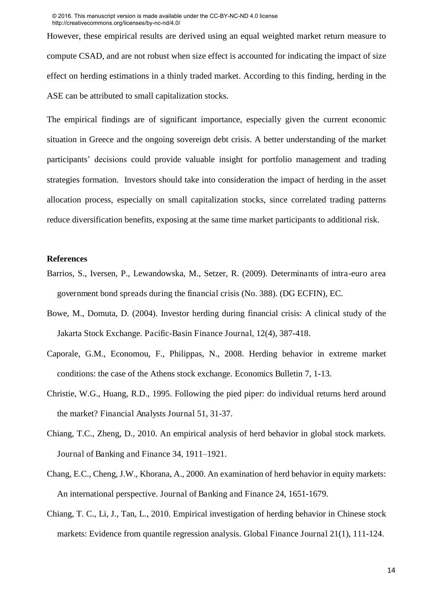However, these empirical results are derived using an equal weighted market return measure to compute CSAD, and are not robust when size effect is accounted for indicating the impact of size effect on herding estimations in a thinly traded market. According to this finding, herding in the ASE can be attributed to small capitalization stocks.

The empirical findings are of significant importance, especially given the current economic situation in Greece and the ongoing sovereign debt crisis. A better understanding of the market participants' decisions could provide valuable insight for portfolio management and trading strategies formation. Investors should take into consideration the impact of herding in the asset allocation process, especially on small capitalization stocks, since correlated trading patterns reduce diversification benefits, exposing at the same time market participants to additional risk.

#### **References**

- Barrios, S., Iversen, P., Lewandowska, M., Setzer, R. (2009). Determinants of intra-euro area government bond spreads during the financial crisis (No. 388). (DG ECFIN), EC.
- Bowe, M., Domuta, D. (2004). Investor herding during financial crisis: A clinical study of the Jakarta Stock Exchange. Pacific-Basin Finance Journal, 12(4), 387-418.
- Caporale, G.M., Economou, F., Philippas, N., 2008. Herding behavior in extreme market conditions: the case of the Athens stock exchange. Economics Bulletin 7, 1-13.
- Christie, W.G., Huang, R.D., 1995. Following the pied piper: do individual returns herd around the market? Financial Analysts Journal 51, 31-37.
- Chiang, T.C., Zheng, D., 2010. An empirical analysis of herd behavior in global stock markets. Journal of Banking and Finance 34, 1911–1921.
- Chang, E.C., Cheng, J.W., Khorana, A., 2000. An examination of herd behavior in equity markets: An international perspective. Journal of Banking and Finance 24, 1651-1679.
- Chiang, T. C., Li, J., Tan, L., 2010. Empirical investigation of herding behavior in Chinese stock markets: Evidence from quantile regression analysis. Global Finance Journal 21(1), 111-124.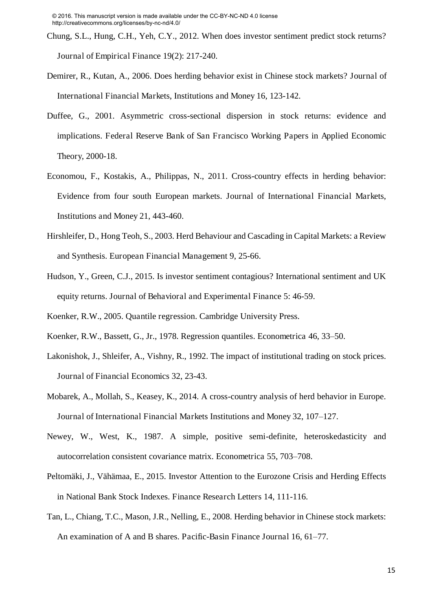- Chung, S.L., Hung, C.H., Yeh, C.Y., 2012. When does investor sentiment predict stock returns? Journal of Empirical Finance 19(2): 217-240.
- Demirer, R., Kutan, A., 2006. Does herding behavior exist in Chinese stock markets? Journal of International Financial Markets, Institutions and Money 16, 123-142.
- Duffee, G., 2001. Asymmetric cross-sectional dispersion in stock returns: evidence and implications. Federal Reserve Bank of San Francisco Working Papers in Applied Economic Theory, 2000-18.
- Economou, F., Kostakis, A., Philippas, N., 2011. Cross-country effects in herding behavior: Evidence from four south European markets. Journal of International Financial Markets, Institutions and Money 21, 443-460.
- Hirshleifer, D., Hong Teoh, S., 2003. Herd Behaviour and Cascading in Capital Markets: a Review and Synthesis. European Financial Management 9, 25-66.
- Hudson, Y., Green, C.J., 2015. Is investor sentiment contagious? International sentiment and UK equity returns. Journal of Behavioral and Experimental Finance 5: 46-59.
- Koenker, R.W., 2005. Quantile regression. Cambridge University Press.
- Koenker, R.W., Bassett, G., Jr., 1978. Regression quantiles. Econometrica 46, 33–50.
- Lakonishok, J., Shleifer, A., Vishny, R., 1992. The impact of institutional trading on stock prices. Journal of Financial Economics 32, 23-43.
- Mobarek, A., Mollah, S., Keasey, K., 2014. A cross-country analysis of herd behavior in Europe. Journal of International Financial Markets Institutions and Money 32, 107–127.
- Newey, W., West, K., 1987. A simple, positive semi-definite, heteroskedasticity and autocorrelation consistent covariance matrix. Econometrica 55, 703–708.
- Peltomäki, J., Vähämaa, E., 2015. Investor Attention to the Eurozone Crisis and Herding Effects in National Bank Stock Indexes. Finance Research Letters 14, 111-116.
- Tan, L., Chiang, T.C., Mason, J.R., Nelling, E., 2008. Herding behavior in Chinese stock markets: An examination of A and B shares. Pacific-Basin Finance Journal 16, 61–77.